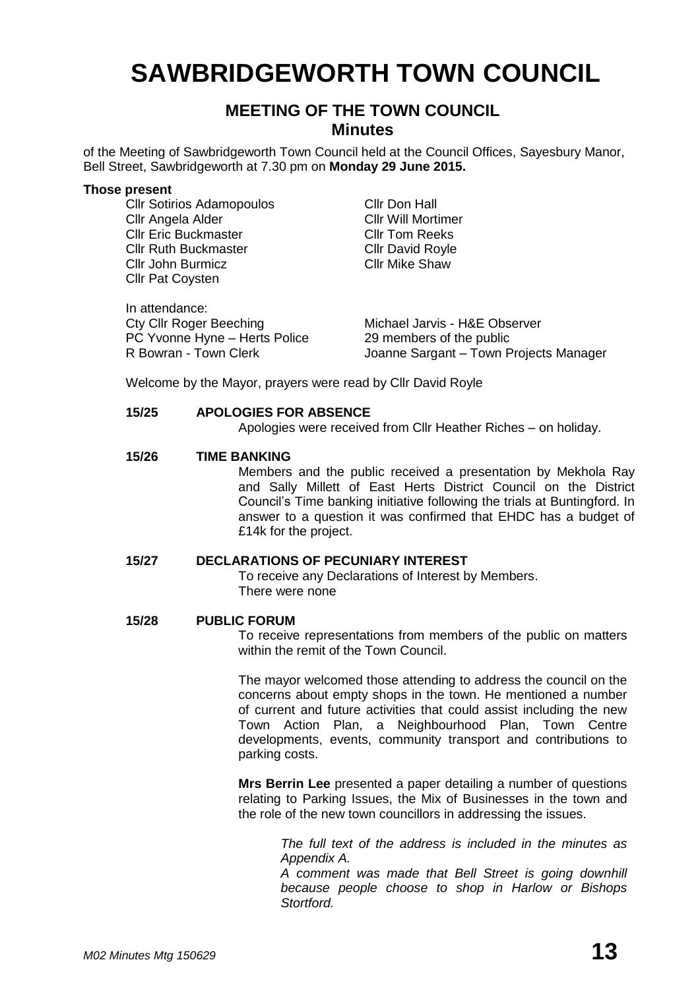# **SAWBRIDGEWORTH TOWN COUNCIL**

# **MEETING OF THE TOWN COUNCIL Minutes**

of the Meeting of Sawbridgeworth Town Council held at the Council Offices, Sayesbury Manor, Bell Street, Sawbridgeworth at 7.30 pm on **Monday 29 June 2015.**

#### **Those present**

Cllr Sotirios Adamopoulos Cllr Don Hall Cllr Angela Alder Cllr Will Mortimer Cllr Eric Buckmaster Cllr Tom Reeks Cllr Ruth Buckmaster Cllr David Royle **Cllr John Burmicz** Cllr Mike Shaw Cllr Pat Coysten

In attendance: Cty Cllr Roger Beeching Michael Jarvis - H&E Observer PC Yvonne Hyne – Herts Police 29 members of the public<br>R Bowran - Town Clerk (2008) Joanne Sargant – Town P Joanne Sargant – Town Projects Manager

Welcome by the Mayor, prayers were read by Cllr David Royle

#### **15/25 APOLOGIES FOR ABSENCE**

Apologies were received from Cllr Heather Riches – on holiday.

#### **15/26 TIME BANKING**

Members and the public received a presentation by Mekhola Ray and Sally Millett of East Herts District Council on the District Council's Time banking initiative following the trials at Buntingford. In answer to a question it was confirmed that EHDC has a budget of £14k for the project.

#### **15/27 DECLARATIONS OF PECUNIARY INTEREST**

To receive any Declarations of Interest by Members. There were none

#### **15/28 PUBLIC FORUM**

To receive representations from members of the public on matters within the remit of the Town Council.

The mayor welcomed those attending to address the council on the concerns about empty shops in the town. He mentioned a number of current and future activities that could assist including the new Town Action Plan, a Neighbourhood Plan, Town Centre developments, events, community transport and contributions to parking costs.

**Mrs Berrin Lee** presented a paper detailing a number of questions relating to Parking Issues, the Mix of Businesses in the town and the role of the new town councillors in addressing the issues.

> *The full text of the address is included in the minutes as Appendix A.*

> *A comment was made that Bell Street is going downhill because people choose to shop in Harlow or Bishops Stortford.*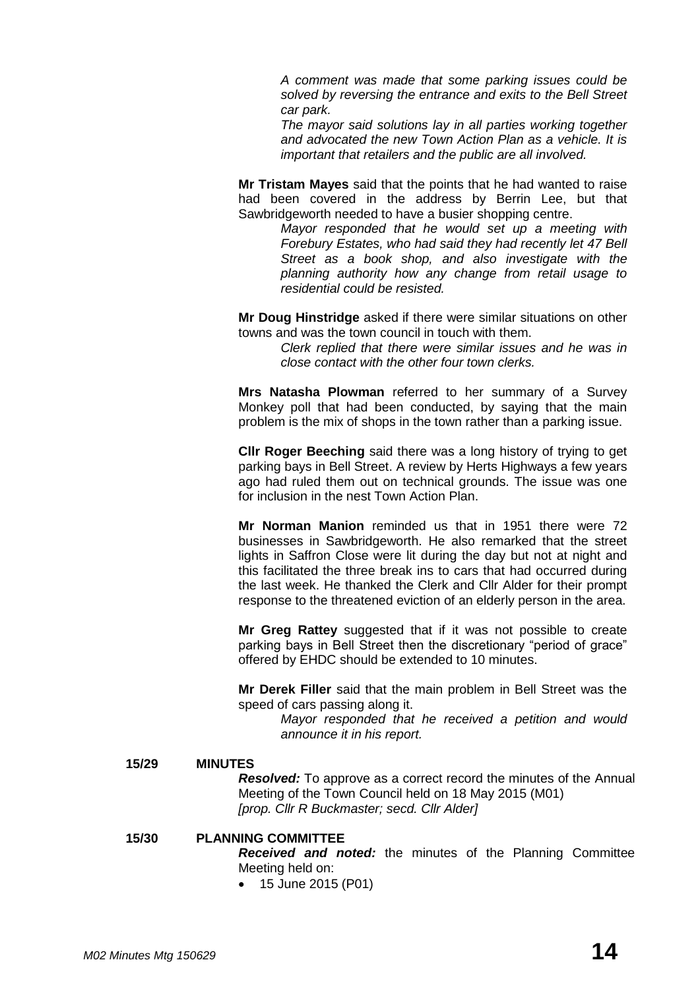*A comment was made that some parking issues could be solved by reversing the entrance and exits to the Bell Street car park.*

*The mayor said solutions lay in all parties working together and advocated the new Town Action Plan as a vehicle. It is important that retailers and the public are all involved.*

**Mr Tristam Mayes** said that the points that he had wanted to raise had been covered in the address by Berrin Lee, but that Sawbridgeworth needed to have a busier shopping centre.

> *Mayor responded that he would set up a meeting with Forebury Estates, who had said they had recently let 47 Bell Street as a book shop, and also investigate with the planning authority how any change from retail usage to residential could be resisted.*

**Mr Doug Hinstridge** asked if there were similar situations on other towns and was the town council in touch with them.

*Clerk replied that there were similar issues and he was in close contact with the other four town clerks.*

**Mrs Natasha Plowman** referred to her summary of a Survey Monkey poll that had been conducted, by saying that the main problem is the mix of shops in the town rather than a parking issue.

**Cllr Roger Beeching** said there was a long history of trying to get parking bays in Bell Street. A review by Herts Highways a few years ago had ruled them out on technical grounds. The issue was one for inclusion in the nest Town Action Plan.

**Mr Norman Manion** reminded us that in 1951 there were 72 businesses in Sawbridgeworth. He also remarked that the street lights in Saffron Close were lit during the day but not at night and this facilitated the three break ins to cars that had occurred during the last week. He thanked the Clerk and Cllr Alder for their prompt response to the threatened eviction of an elderly person in the area.

**Mr Greg Rattey** suggested that if it was not possible to create parking bays in Bell Street then the discretionary "period of grace" offered by EHDC should be extended to 10 minutes.

**Mr Derek Filler** said that the main problem in Bell Street was the speed of cars passing along it.

*Mayor responded that he received a petition and would announce it in his report.*

#### **15/29 MINUTES**

*Resolved:* To approve as a correct record the minutes of the Annual Meeting of the Town Council held on 18 May 2015 (M01) *[prop. Cllr R Buckmaster; secd. Cllr Alder]*

#### **15/30 PLANNING COMMITTEE**

*Received and noted:* the minutes of the Planning Committee Meeting held on:

• 15 June 2015 (P01)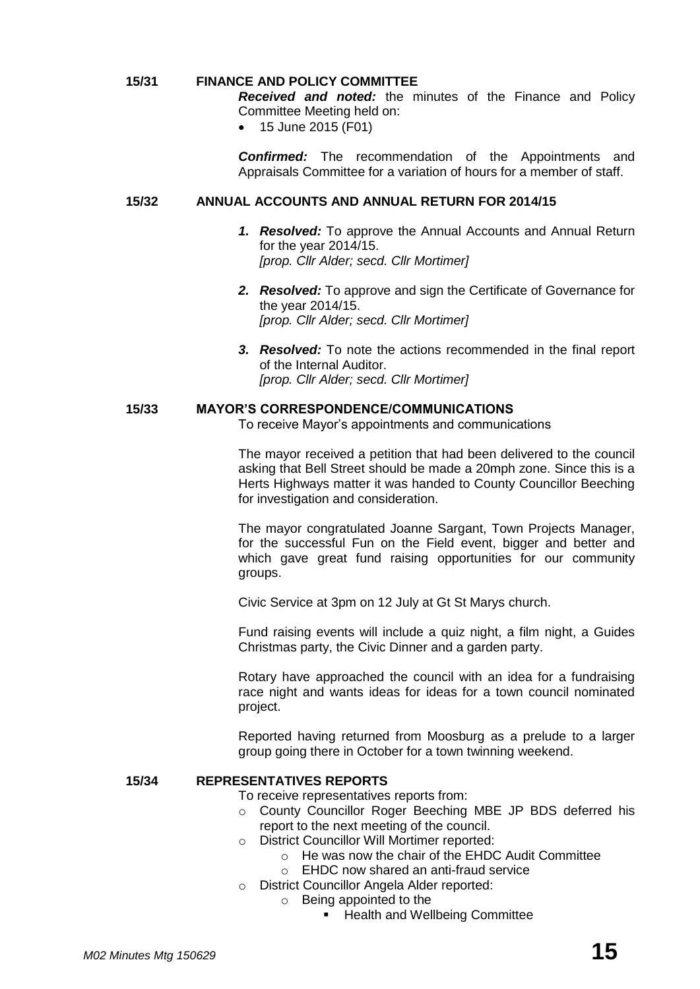#### **15/31 FINANCE AND POLICY COMMITTEE**

*Received and noted:* the minutes of the Finance and Policy Committee Meeting held on:

• 15 June 2015 (F01)

*Confirmed:* The recommendation of the Appointments and Appraisals Committee for a variation of hours for a member of staff.

#### **15/32 ANNUAL ACCOUNTS AND ANNUAL RETURN FOR 2014/15**

- *1. Resolved:* To approve the Annual Accounts and Annual Return for the year 2014/15. *[prop. Cllr Alder; secd. Cllr Mortimer]*
- *2. Resolved:* To approve and sign the Certificate of Governance for the year 2014/15. *[prop. Cllr Alder; secd. Cllr Mortimer]*
- *3. Resolved:* To note the actions recommended in the final report of the Internal Auditor. *[prop. Cllr Alder; secd. Cllr Mortimer]*

#### **15/33 MAYOR'S CORRESPONDENCE/COMMUNICATIONS**

To receive Mayor's appointments and communications

The mayor received a petition that had been delivered to the council asking that Bell Street should be made a 20mph zone. Since this is a Herts Highways matter it was handed to County Councillor Beeching for investigation and consideration.

The mayor congratulated Joanne Sargant, Town Projects Manager, for the successful Fun on the Field event, bigger and better and which gave great fund raising opportunities for our community groups.

Civic Service at 3pm on 12 July at Gt St Marys church.

Fund raising events will include a quiz night, a film night, a Guides Christmas party, the Civic Dinner and a garden party.

Rotary have approached the council with an idea for a fundraising race night and wants ideas for ideas for a town council nominated project.

Reported having returned from Moosburg as a prelude to a larger group going there in October for a town twinning weekend.

#### **15/34 REPRESENTATIVES REPORTS**

To receive representatives reports from:

- o County Councillor Roger Beeching MBE JP BDS deferred his report to the next meeting of the council.
- o District Councillor Will Mortimer reported:
	- o He was now the chair of the EHDC Audit Committee
	- o EHDC now shared an anti-fraud service
- o District Councillor Angela Alder reported:
	- o Being appointed to the
		- **Health and Wellbeing Committee**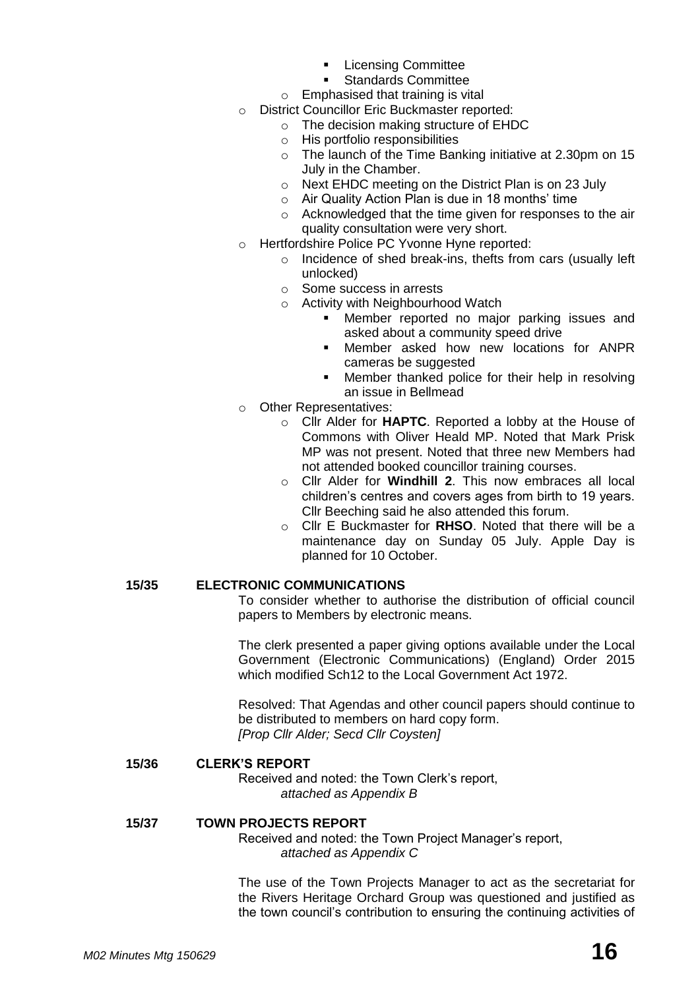- Licensing Committee
- Standards Committee
- $\circ$  Emphasised that training is vital
- o District Councillor Eric Buckmaster reported:
	- o The decision making structure of EHDC
	- o His portfolio responsibilities
	- o The launch of the Time Banking initiative at 2.30pm on 15 July in the Chamber.
	- o Next EHDC meeting on the District Plan is on 23 July
	- o Air Quality Action Plan is due in 18 months' time
	- o Acknowledged that the time given for responses to the air quality consultation were very short.
- o Hertfordshire Police PC Yvonne Hyne reported:
	- o Incidence of shed break-ins, thefts from cars (usually left unlocked)
	- o Some success in arrests
	- o Activity with Neighbourhood Watch
		- **Member reported no major parking issues and** asked about a community speed drive
		- Member asked how new locations for ANPR cameras be suggested
		- Member thanked police for their help in resolving an issue in Bellmead
- o Other Representatives:
	- o Cllr Alder for **HAPTC**. Reported a lobby at the House of Commons with Oliver Heald MP. Noted that Mark Prisk MP was not present. Noted that three new Members had not attended booked councillor training courses.
	- o Cllr Alder for **Windhill 2**. This now embraces all local children's centres and covers ages from birth to 19 years. Cllr Beeching said he also attended this forum.
	- o Cllr E Buckmaster for **RHSO**. Noted that there will be a maintenance day on Sunday 05 July. Apple Day is planned for 10 October.

#### **15/35 ELECTRONIC COMMUNICATIONS**

To consider whether to authorise the distribution of official council papers to Members by electronic means.

The clerk presented a paper giving options available under the Local Government (Electronic Communications) (England) Order 2015 which modified Sch12 to the Local Government Act 1972.

Resolved: That Agendas and other council papers should continue to be distributed to members on hard copy form. *[Prop Cllr Alder; Secd Cllr Coysten]*

#### **15/36 CLERK'S REPORT**

Received and noted: the Town Clerk's report, *attached as Appendix B*

#### **15/37 TOWN PROJECTS REPORT**

Received and noted: the Town Project Manager's report, *attached as Appendix C*

The use of the Town Projects Manager to act as the secretariat for the Rivers Heritage Orchard Group was questioned and justified as the town council's contribution to ensuring the continuing activities of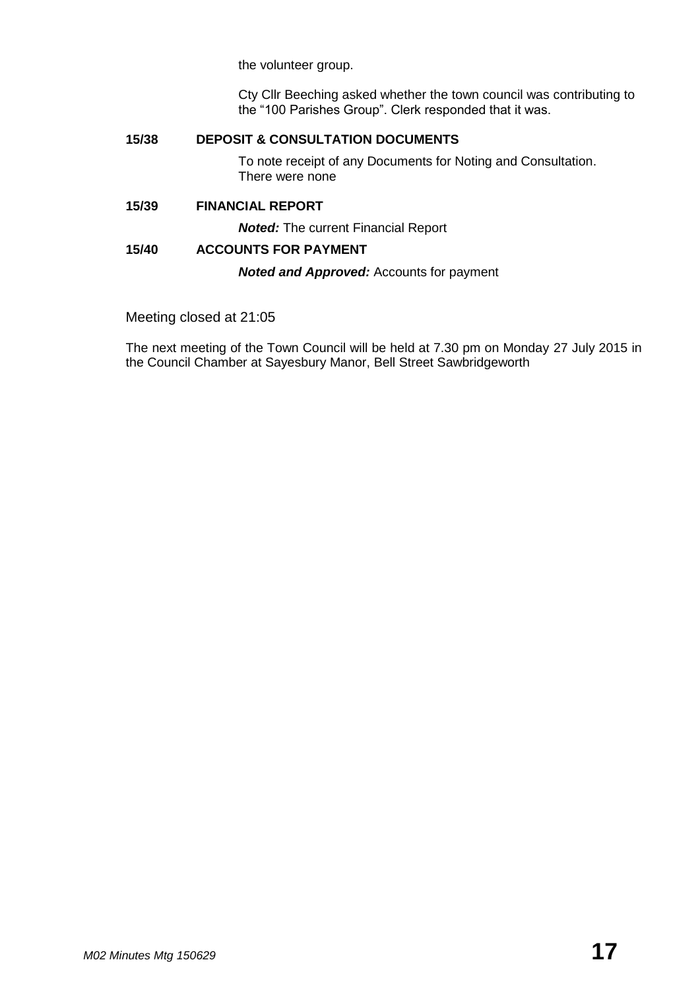the volunteer group.

Cty Cllr Beeching asked whether the town council was contributing to the "100 Parishes Group". Clerk responded that it was.

#### **15/38 DEPOSIT & CONSULTATION DOCUMENTS**

To note receipt of any Documents for Noting and Consultation. There were none

#### **15/39 FINANCIAL REPORT**

*Noted:* The current Financial Report

#### **15/40 ACCOUNTS FOR PAYMENT**

*Noted and Approved:* Accounts for payment

#### Meeting closed at 21:05

The next meeting of the Town Council will be held at 7.30 pm on Monday 27 July 2015 in the Council Chamber at Sayesbury Manor, Bell Street Sawbridgeworth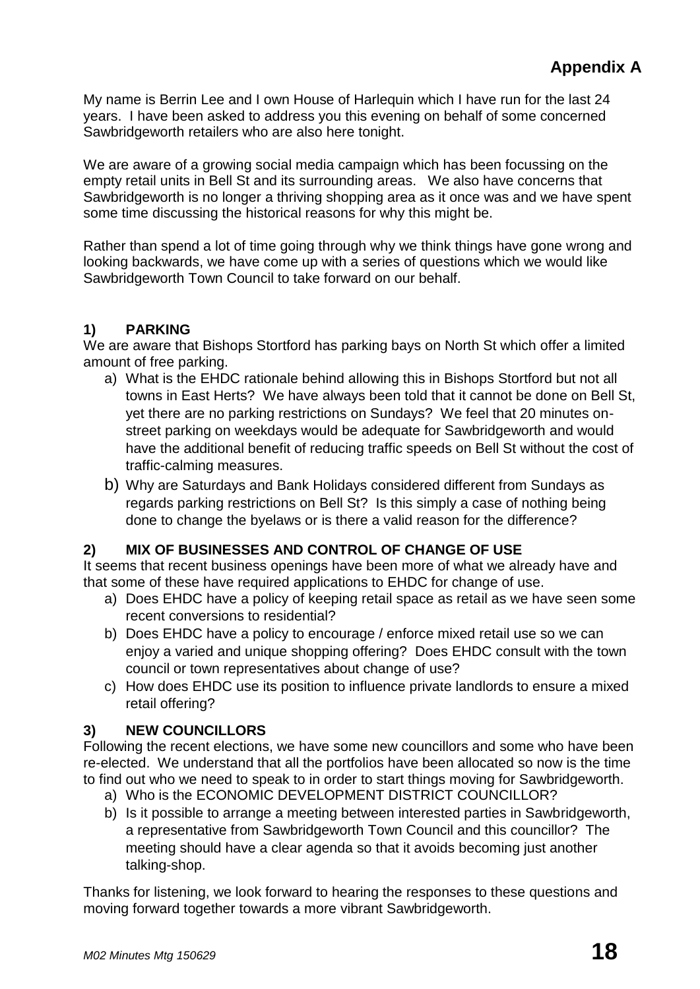My name is Berrin Lee and I own House of Harlequin which I have run for the last 24 years. I have been asked to address you this evening on behalf of some concerned Sawbridgeworth retailers who are also here tonight.

We are aware of a growing social media campaign which has been focussing on the empty retail units in Bell St and its surrounding areas. We also have concerns that Sawbridgeworth is no longer a thriving shopping area as it once was and we have spent some time discussing the historical reasons for why this might be.

Rather than spend a lot of time going through why we think things have gone wrong and looking backwards, we have come up with a series of questions which we would like Sawbridgeworth Town Council to take forward on our behalf.

# **1) PARKING**

We are aware that Bishops Stortford has parking bays on North St which offer a limited amount of free parking.

- a) What is the EHDC rationale behind allowing this in Bishops Stortford but not all towns in East Herts? We have always been told that it cannot be done on Bell St, yet there are no parking restrictions on Sundays? We feel that 20 minutes onstreet parking on weekdays would be adequate for Sawbridgeworth and would have the additional benefit of reducing traffic speeds on Bell St without the cost of traffic-calming measures.
- b) Why are Saturdays and Bank Holidays considered different from Sundays as regards parking restrictions on Bell St? Is this simply a case of nothing being done to change the byelaws or is there a valid reason for the difference?

# **2) MIX OF BUSINESSES AND CONTROL OF CHANGE OF USE**

It seems that recent business openings have been more of what we already have and that some of these have required applications to EHDC for change of use.

- a) Does EHDC have a policy of keeping retail space as retail as we have seen some recent conversions to residential?
- b) Does EHDC have a policy to encourage / enforce mixed retail use so we can enjoy a varied and unique shopping offering? Does EHDC consult with the town council or town representatives about change of use?
- c) How does EHDC use its position to influence private landlords to ensure a mixed retail offering?

# **3) NEW COUNCILLORS**

Following the recent elections, we have some new councillors and some who have been re-elected. We understand that all the portfolios have been allocated so now is the time to find out who we need to speak to in order to start things moving for Sawbridgeworth.

- a) Who is the ECONOMIC DEVELOPMENT DISTRICT COUNCILLOR?
- b) Is it possible to arrange a meeting between interested parties in Sawbridgeworth, a representative from Sawbridgeworth Town Council and this councillor? The meeting should have a clear agenda so that it avoids becoming just another talking-shop.

Thanks for listening, we look forward to hearing the responses to these questions and moving forward together towards a more vibrant Sawbridgeworth.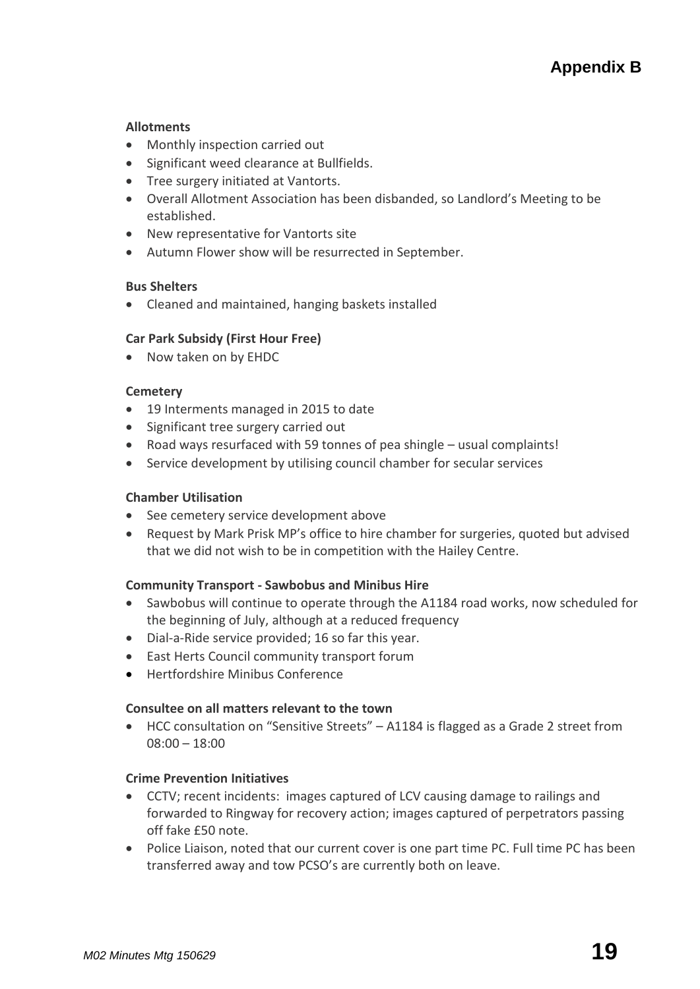#### **[Allotments](http://www.sawbridgeworth-tc.gov.uk/town-information/town-council-services/allotments)**

- Monthly inspection carried out
- Significant weed clearance at Bullfields.
- Tree surgery initiated at Vantorts.
- Overall Allotment Association has been disbanded, so Landlord's Meeting to be established.
- New representative for Vantorts site
- Autumn Flower show will be resurrected in September.

#### **Bus Shelters**

Cleaned and maintained, hanging baskets installed

### **Car Park Subsidy (First Hour Free)**

• Now taken on by EHDC

#### **[Cemetery](http://www.sawbridgeworth-tc.gov.uk/town-information/town-council-services/cemetery)**

- 19 Interments managed in 2015 to date
- Significant tree surgery carried out
- Road ways resurfaced with 59 tonnes of pea shingle usual complaints!
- Service development by utilising council chamber for secular services

#### **Chamber Utilisation**

- See cemetery service development above
- Request by Mark Prisk MP's office to hire chamber for surgeries, quoted but advised that we did not wish to be in competition with the Hailey Centre.

#### **Community Transport - [Sawbobus](http://www.sawbridgeworth-tc.gov.uk/town-information/town-council-services/sawbobus) an[d Minibus Hire](http://www.sawbridgeworth-tc.gov.uk/town-information/town-council-services/minibus-hire)**

- Sawbobus will continue to operate through the A1184 road works, now scheduled for the beginning of July, although at a reduced frequency
- Dial-a-Ride service provided; 16 so far this year.
- East Herts Council community transport forum
- Hertfordshire Minibus Conference

#### **Consultee on all matters relevant to the town**

 HCC consultation on "Sensitive Streets" – A1184 is flagged as a Grade 2 street from 08:00 – 18:00

#### **Crime Prevention Initiatives**

- CCTV; recent incidents: images captured of LCV causing damage to railings and forwarded to Ringway for recovery action; images captured of perpetrators passing off fake £50 note.
- Police Liaison, noted that our current cover is one part time PC. Full time PC has been transferred away and tow PCSO's are currently both on leave.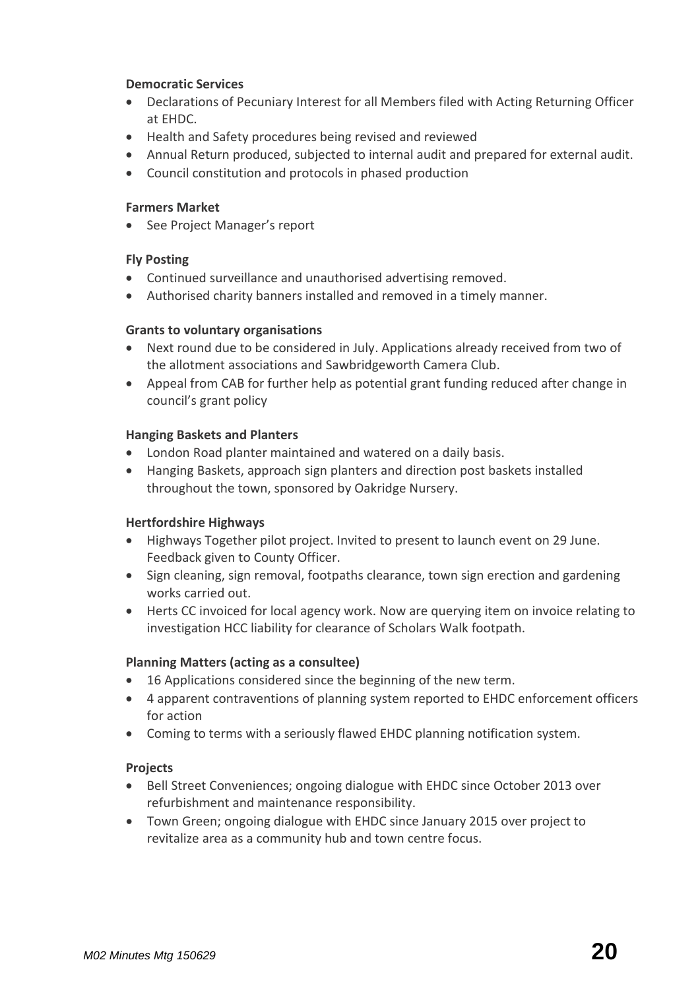### **Democratic Services**

- Declarations of Pecuniary Interest for all Members filed with Acting Returning Officer at EHDC.
- Health and Safety procedures being revised and reviewed
- Annual Return produced, subjected to internal audit and prepared for external audit.
- Council constitution and protocols in phased production

#### **[Farmers Market](http://www.sawbridgeworth-tc.gov.uk/farmers-market)**

• See Project Manager's report

#### **Fly Posting**

- Continued surveillance and unauthorised advertising removed.
- Authorised charity banners installed and removed in a timely manner.

### **Grants [to voluntary organisations](http://www.sawbridgeworth-tc.gov.uk/town-council/grants)**

- Next round due to be considered in July. Applications already received from two of the allotment associations and Sawbridgeworth Camera Club.
- Appeal from CAB for further help as potential grant funding reduced after change in council's grant policy

#### **Hanging Baskets and Planters**

- London Road planter maintained and watered on a daily basis.
- Hanging Baskets, approach sign planters and direction post baskets installed throughout the town, sponsored by Oakridge Nursery.

#### **Hertfordshire Highways**

- Highways Together pilot project. Invited to present to launch event on 29 June. Feedback given to County Officer.
- Sign cleaning, sign removal, footpaths clearance, town sign erection and gardening works carried out.
- Herts CC invoiced for local agency work. Now are querying item on invoice relating to investigation HCC liability for clearance of Scholars Walk footpath.

#### **[Planning Matters \(acting as a consultee\)](http://www.sawbridgeworth-tc.gov.uk/town-council/planning)**

- 16 Applications considered since the beginning of the new term.
- 4 apparent contraventions of planning system reported to EHDC enforcement officers for action
- Coming to terms with a seriously flawed EHDC planning notification system.

#### **Projects**

- Bell Street Conveniences; ongoing dialogue with EHDC since October 2013 over refurbishment and maintenance responsibility.
- Town Green; ongoing dialogue with EHDC since January 2015 over project to revitalize area as a community hub and town centre focus.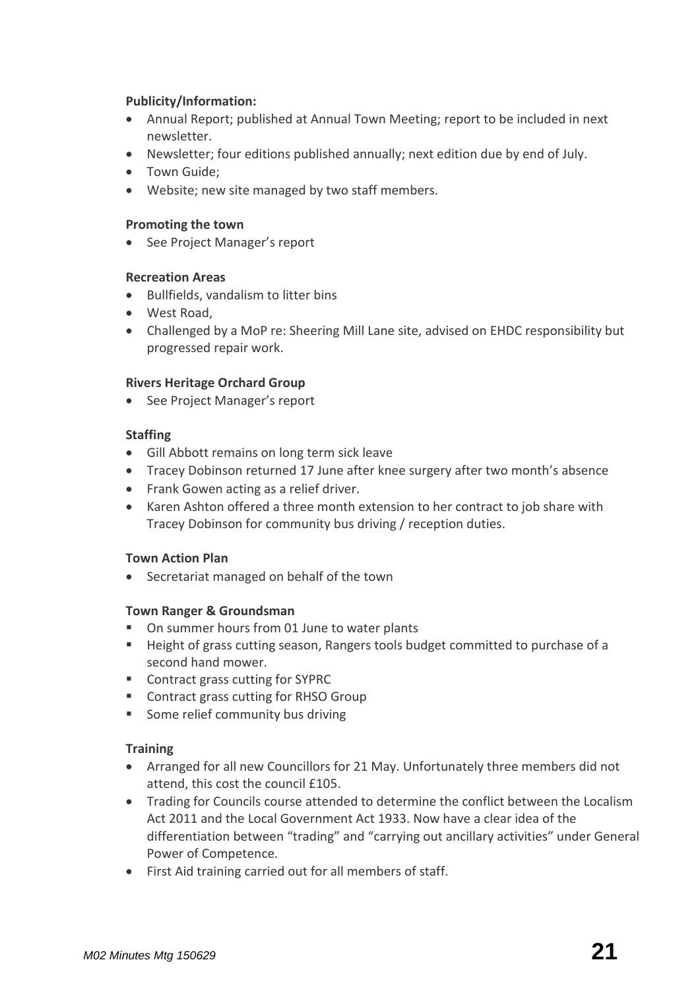#### **Publicity/Information:**

- Annual Report; published at Annual Town Meeting; report to be included in next newsletter.
- Newsletter; four editions published annually; next edition due by end of July.
- Town Guide;
- Website; new site managed by two staff members.

#### **Promoting the town**

• See Project Manager's report

### **Recreation Areas**

- Bullfields, vandalism to litter bins
- West Road,
- Challenged by a MoP re: Sheering Mill Lane site, advised on EHDC responsibility but progressed repair work.

### **Rivers Heritage Orchard Group**

• See Project Manager's report

### **Staffing**

- Gill Abbott remains on long term sick leave
- Tracey Dobinson returned 17 June after knee surgery after two month's absence
- Frank Gowen acting as a relief driver.
- Karen Ashton offered a three month extension to her contract to job share with Tracey Dobinson for community bus driving / reception duties.

#### **Town Action Plan**

Secretariat managed on behalf of the town

#### **Town Ranger & Groundsman**

- On summer hours from 01 June to water plants
- Height of grass cutting season, Rangers tools budget committed to purchase of a second hand mower.
- Contract grass cutting for SYPRC
- Contract grass cutting for RHSO Group
- Some relief community bus driving

#### **Training**

- Arranged for all new Councillors for 21 May. Unfortunately three members did not attend, this cost the council £105.
- Trading for Councils course attended to determine the conflict between the Localism Act 2011 and the Local Government Act 1933. Now have a clear idea of the differentiation between "trading" and "carrying out ancillary activities" under General Power of Competence.
- First Aid training carried out for all members of staff.